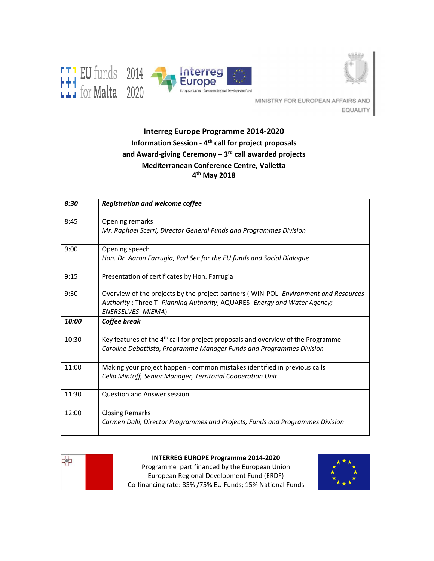



MINISTRY FOR EUROPEAN AFFAIRS AND EQUALITY

# **Interreg Europe Programme 2014-2020 Information Session - 4th call for project proposals and Award-giving Ceremony – 3rd call awarded projects Mediterranean Conference Centre, Valletta 4 th May 2018**

| 8:30  | <b>Registration and welcome coffee</b>                                                                                                                                                          |
|-------|-------------------------------------------------------------------------------------------------------------------------------------------------------------------------------------------------|
| 8:45  | Opening remarks<br>Mr. Raphael Scerri, Director General Funds and Programmes Division                                                                                                           |
| 9:00  | Opening speech<br>Hon. Dr. Aaron Farrugia, Parl Sec for the EU funds and Social Dialogue                                                                                                        |
| 9:15  | Presentation of certificates by Hon. Farrugia                                                                                                                                                   |
| 9:30  | Overview of the projects by the project partners (WIN-POL- Environment and Resources<br>Authority ; Three T- Planning Authority; AQUARES- Energy and Water Agency;<br><b>ENERSELVES- MIEMA)</b> |
| 10:00 | Coffee break                                                                                                                                                                                    |
| 10:30 | Key features of the 4 <sup>th</sup> call for project proposals and overview of the Programme<br>Caroline Debattista, Programme Manager Funds and Programmes Division                            |
| 11:00 | Making your project happen - common mistakes identified in previous calls<br>Celia Mintoff, Senior Manager, Territorial Cooperation Unit                                                        |
| 11:30 | <b>Question and Answer session</b>                                                                                                                                                              |
| 12:00 | <b>Closing Remarks</b><br>Carmen Dalli, Director Programmes and Projects, Funds and Programmes Division                                                                                         |



**INTERREG EUROPE Programme 2014-2020**

Programme part financed by the European Union European Regional Development Fund (ERDF) Co-financing rate: 85% /75% EU Funds; 15% National Funds